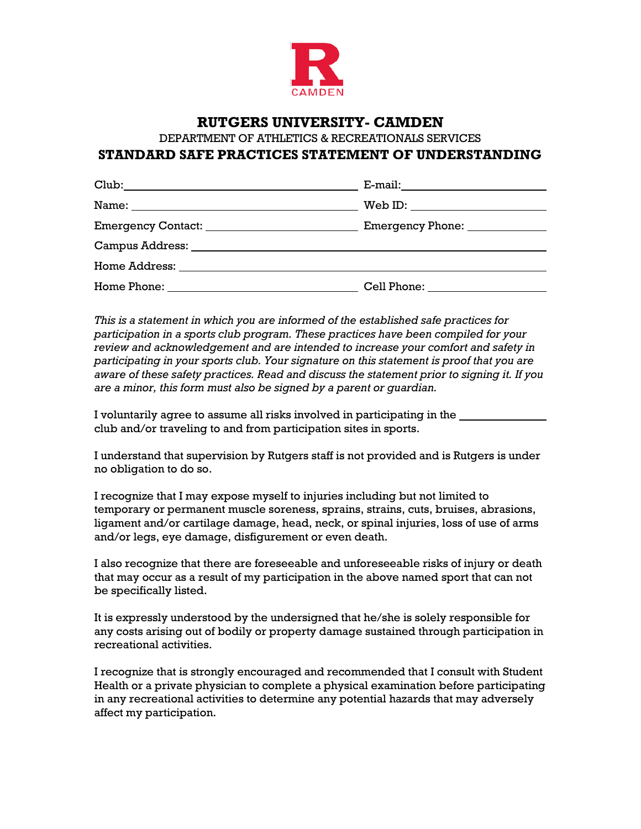

## **RUTGERS UNIVERSITY- CAMDEN**

DEPARTMENT OF ATHLETICS & RECREATIONALS SERVICES

## **STANDARD SAFE PRACTICES STATEMENT OF UNDERSTANDING**

| Name: Name and the second contract of the second contract of the second contract of the second contract of the |  |
|----------------------------------------------------------------------------------------------------------------|--|
|                                                                                                                |  |
|                                                                                                                |  |
| Home Address: _____________________________                                                                    |  |
|                                                                                                                |  |

*This is a statement in which you are informed of the established safe practices for participation in a sports club program. These practices have been compiled for your review and acknowledgement and are intended to increase your comfort and safety in participating in your sports club. Your signature on this statement is proof that you are aware of these safety practices. Read and discuss the statement prior to signing it. If you are a minor, this form must also be signed by a parent or guardian.*

I voluntarily agree to assume all risks involved in participating in the club and/or traveling to and from participation sites in sports.

I understand that supervision by Rutgers staff is not provided and is Rutgers is under no obligation to do so.

I recognize that I may expose myself to injuries including but not limited to temporary or permanent muscle soreness, sprains, strains, cuts, bruises, abrasions, ligament and/or cartilage damage, head, neck, or spinal injuries, loss of use of arms and/or legs, eye damage, disfigurement or even death.

I also recognize that there are foreseeable and unforeseeable risks of injury or death that may occur as a result of my participation in the above named sport that can not be specifically listed.

It is expressly understood by the undersigned that he/she is solely responsible for any costs arising out of bodily or property damage sustained through participation in recreational activities.

I recognize that is strongly encouraged and recommended that I consult with Student Health or a private physician to complete a physical examination before participating in any recreational activities to determine any potential hazards that may adversely affect my participation.